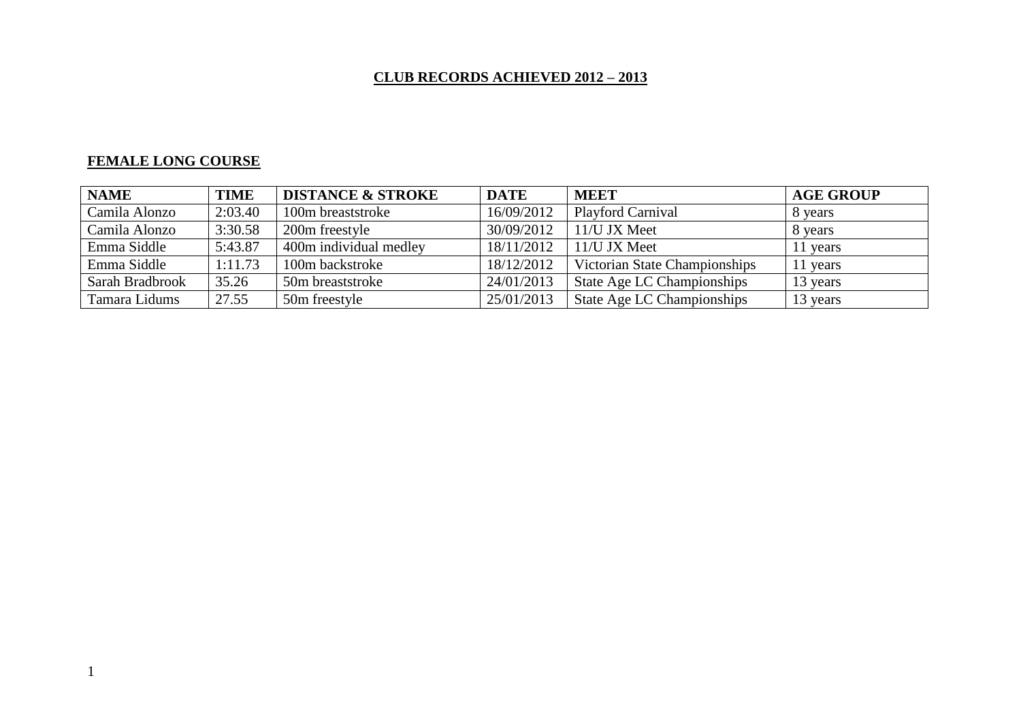# **CLUB RECORDS ACHIEVED 2012 – 2013**

# **FEMALE LONG COURSE**

| <b>NAME</b>     | <b>TIME</b> | <b>DISTANCE &amp; STROKE</b> | <b>DATE</b> | <b>MEET</b>                   | <b>AGE GROUP</b> |
|-----------------|-------------|------------------------------|-------------|-------------------------------|------------------|
| Camila Alonzo   | 2:03.40     | 100m breaststroke            | 16/09/2012  | <b>Playford Carnival</b>      | 8 years          |
| Camila Alonzo   | 3:30.58     | 200m freestyle               | 30/09/2012  | 11/U JX Meet                  | 8 years          |
| Emma Siddle     | 5:43.87     | 400m individual medley       | 18/11/2012  | 11/U JX Meet                  | vears            |
| Emma Siddle     | 1:11.73     | 100m backstroke              | 18/12/2012  | Victorian State Championships | 11 years         |
| Sarah Bradbrook | 35.26       | 50m breaststroke             | 24/01/2013  | State Age LC Championships    | 13 years         |
| Tamara Lidums   | 27.55       | 50m freestyle                | 25/01/2013  | State Age LC Championships    | 13 years         |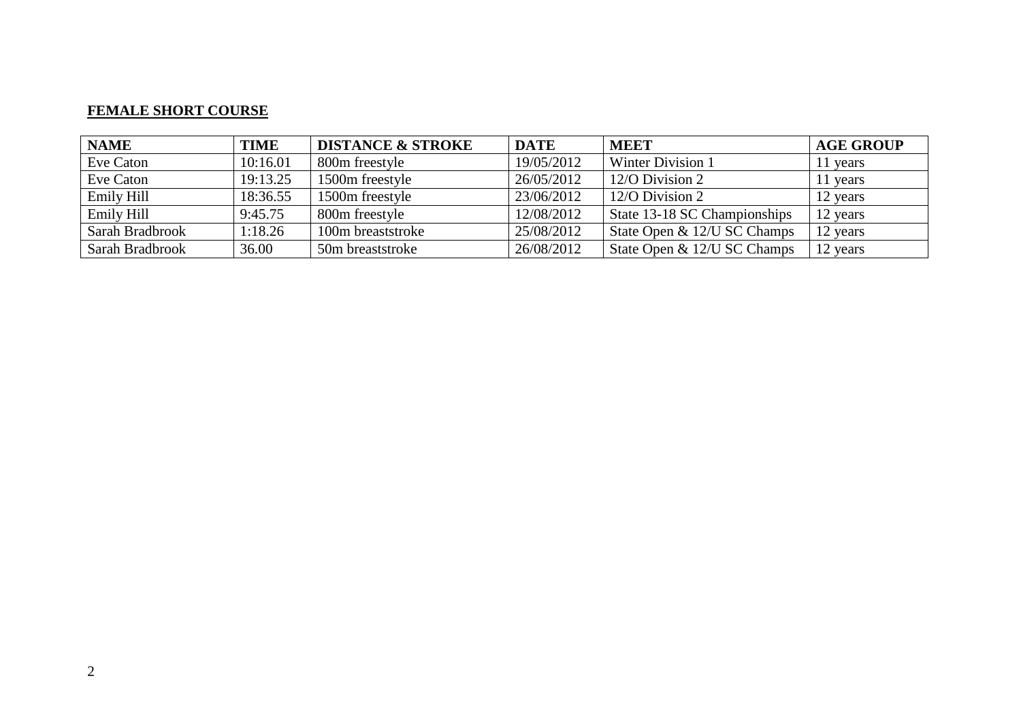#### **FEMALE SHORT COURSE**

| <b>NAME</b>     | <b>TIME</b> | <b>DISTANCE &amp; STROKE</b> | <b>DATE</b> | <b>MEET</b>                  | <b>AGE GROUP</b> |
|-----------------|-------------|------------------------------|-------------|------------------------------|------------------|
| Eve Caton       | 10:16.01    | 800m freestyle               | 19/05/2012  | <b>Winter Division 1</b>     | 11 years         |
| Eve Caton       | 19:13.25    | 1500m freestyle              | 26/05/2012  | 12/O Division 2              | 11 years         |
| Emily Hill      | 18:36.55    | 1500m freestyle              | 23/06/2012  | 12/O Division 2              | 12 years         |
| Emily Hill      | 9:45.75     | 800m freestyle               | 12/08/2012  | State 13-18 SC Championships | 12 years         |
| Sarah Bradbrook | 1:18.26     | 100m breaststroke            | 25/08/2012  | State Open & 12/U SC Champs  | 12 years         |
| Sarah Bradbrook | 36.00       | 50m breaststroke             | 26/08/2012  | State Open & 12/U SC Champs  | 12 years         |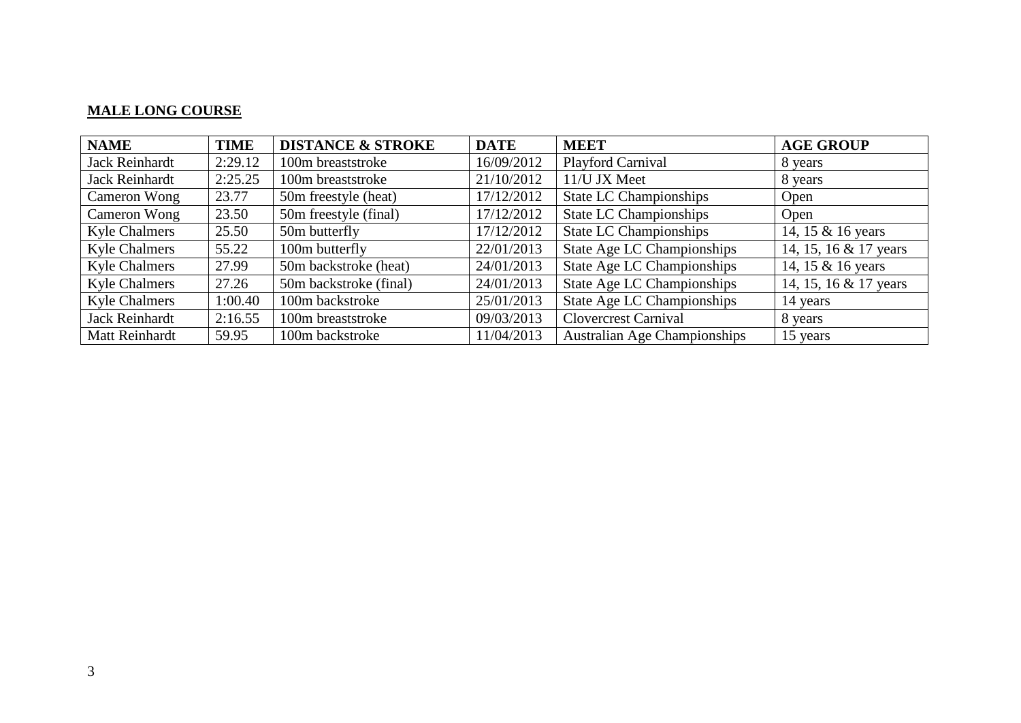### **MALE LONG COURSE**

| <b>NAME</b>           | <b>TIME</b> | <b>DISTANCE &amp; STROKE</b> | <b>DATE</b> | <b>MEET</b>                         | <b>AGE GROUP</b>      |
|-----------------------|-------------|------------------------------|-------------|-------------------------------------|-----------------------|
| <b>Jack Reinhardt</b> | 2:29.12     | 100m breaststroke            | 16/09/2012  | Playford Carnival                   | 8 years               |
| Jack Reinhardt        | 2:25.25     | 100m breaststroke            | 21/10/2012  | 11/U JX Meet                        | 8 years               |
| Cameron Wong          | 23.77       | 50m freestyle (heat)         | 17/12/2012  | <b>State LC Championships</b>       | Open                  |
| Cameron Wong          | 23.50       | 50m freestyle (final)        | 17/12/2012  | <b>State LC Championships</b>       | Open                  |
| <b>Kyle Chalmers</b>  | 25.50       | 50m butterfly                | 17/12/2012  | <b>State LC Championships</b>       | 14, 15 & 16 years     |
| <b>Kyle Chalmers</b>  | 55.22       | 100m butterfly               | 22/01/2013  | <b>State Age LC Championships</b>   | 14, 15, 16 & 17 years |
| <b>Kyle Chalmers</b>  | 27.99       | 50m backstroke (heat)        | 24/01/2013  | <b>State Age LC Championships</b>   | 14, 15 & 16 years     |
| <b>Kyle Chalmers</b>  | 27.26       | 50m backstroke (final)       | 24/01/2013  | State Age LC Championships          | 14, 15, 16 & 17 years |
| <b>Kyle Chalmers</b>  | 1:00.40     | 100m backstroke              | 25/01/2013  | State Age LC Championships          | 14 years              |
| <b>Jack Reinhardt</b> | 2:16.55     | 100m breaststroke            | 09/03/2013  | <b>Clovercrest Carnival</b>         | 8 years               |
| Matt Reinhardt        | 59.95       | 100m backstroke              | 11/04/2013  | <b>Australian Age Championships</b> | 15 years              |